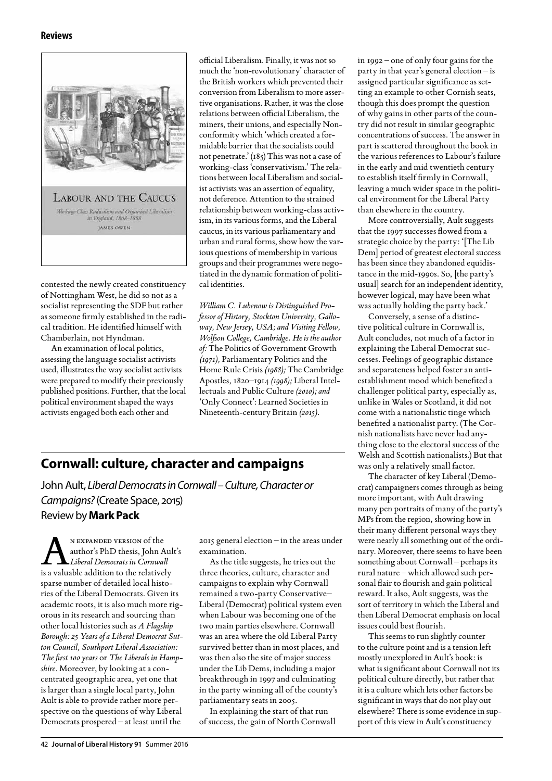## **Reviews**



contested the newly created constituency of Nottingham West, he did so not as a socialist representing the SDF but rather as someone firmly established in the radical tradition. He identified himself with Chamberlain, not Hyndman.

An examination of local politics, assessing the language socialist activists used, illustrates the way socialist activists were prepared to modify their previously published positions. Further, that the local political environment shaped the ways activists engaged both each other and

official Liberalism. Finally, it was not so much the 'non-revolutionary' character of the British workers which prevented their conversion from Liberalism to more assertive organisations. Rather, it was the close relations between official Liberalism, the miners, their unions, and especially Nonconformity which 'which created a formidable barrier that the socialists could not penetrate.' (185) This was not a case of working-class 'conservativism.' The relations between local Liberalism and socialist activists was an assertion of equality, not deference. Attention to the strained relationship between working-class activism, in its various forms, and the Liberal caucus, in its various parliamentary and urban and rural forms, show how the various questions of membership in various groups and their programmes were negotiated in the dynamic formation of political identities.

*William C. Lubenow is Distinguished Professor of History, Stockton University, Galloway, New Jersey, USA; and Visiting Fellow, Wolfson College, Cambridge. He is the author of:* The Politics of Government Growth *(1971),* Parliamentary Politics and the Home Rule Crisis *(1988);* The Cambridge Apostles, 1820–1914 *(1998);* Liberal Intellectuals and Public Culture *(2010); and*  'Only Connect': Learned Societies in Nineteenth-century Britain *(2015).*

## **Cornwall: culture, character and campaigns**

John Ault, *Liberal Democrats in Cornwall – Culture, Character or Campaigns?* (Create Space, 2015)

Review by **Mark Pack**

N EXPANDED VERSION of the<br>author's PhD thesis, John A<br>is a valuable addition to the relative author's PhD thesis, John Ault's *Liberal Democrats in Cornwall* is a valuable addition to the relatively sparse number of detailed local histories of the Liberal Democrats. Given its academic roots, it is also much more rigorous in its research and sourcing than other local histories such as *A Flagship Borough: 25 Years of a Liberal Democrat Sutton Council, Southport Liberal Association: The first 100 years* or *The Liberals in Hampshire*. Moreover, by looking at a concentrated geographic area, yet one that is larger than a single local party, John Ault is able to provide rather more perspective on the questions of why Liberal Democrats prospered – at least until the

2015 general election – in the areas under examination.

As the title suggests, he tries out the three theories, culture, character and campaigns to explain why Cornwall remained a two-party Conservative– Liberal (Democrat) political system even when Labour was becoming one of the two main parties elsewhere. Cornwall was an area where the old Liberal Party survived better than in most places, and was then also the site of major success under the Lib Dems, including a major breakthrough in 1997 and culminating in the party winning all of the county's parliamentary seats in 2005.

In explaining the start of that run of success, the gain of North Cornwall in 1992 – one of only four gains for the party in that year's general election – is assigned particular significance as setting an example to other Cornish seats, though this does prompt the question of why gains in other parts of the country did not result in similar geographic concentrations of success. The answer in part is scattered throughout the book in the various references to Labour's failure in the early and mid twentieth century to establish itself firmly in Cornwall, leaving a much wider space in the political environment for the Liberal Party than elsewhere in the country.

More controversially, Ault suggests that the 1997 successes flowed from a strategic choice by the party: '[The Lib Dem] period of greatest electoral success has been since they abandoned equidistance in the mid-1990s. So, [the party's usual] search for an independent identity, however logical, may have been what was actually holding the party back.'

Conversely, a sense of a distinctive political culture in Cornwall is, Ault concludes, not much of a factor in explaining the Liberal Democrat successes. Feelings of geographic distance and separateness helped foster an antiestablishment mood which benefited a challenger political party, especially as, unlike in Wales or Scotland, it did not come with a nationalistic tinge which benefited a nationalist party. (The Cornish nationalists have never had anything close to the electoral success of the Welsh and Scottish nationalists.) But that was only a relatively small factor.

The character of key Liberal (Democrat) campaigners comes through as being more important, with Ault drawing many pen portraits of many of the party's MPs from the region, showing how in their many different personal ways they were nearly all something out of the ordinary. Moreover, there seems to have been something about Cornwall – perhaps its rural nature – which allowed such personal flair to flourish and gain political reward. It also, Ault suggests, was the sort of territory in which the Liberal and then Liberal Democrat emphasis on local issues could best flourish.

This seems to run slightly counter to the culture point and is a tension left mostly unexplored in Ault's book: is what is significant about Cornwall not its political culture directly, but rather that it is a culture which lets other factors be significant in ways that do not play out elsewhere? There is some evidence in support of this view in Ault's constituency